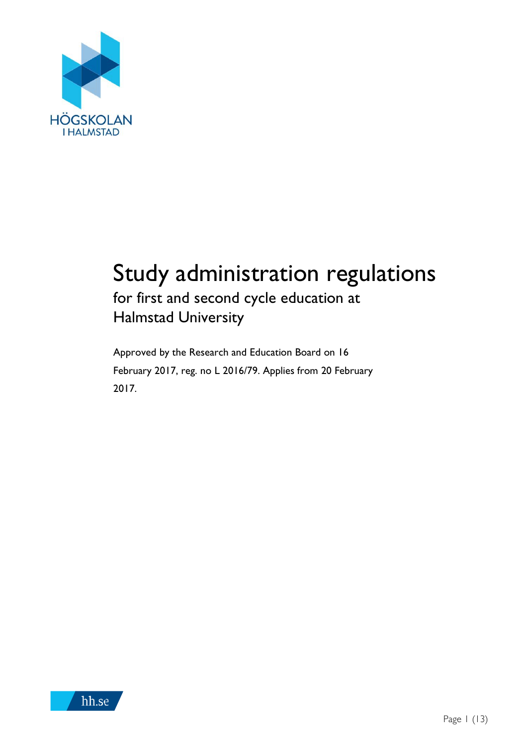

# Study administration regulations for first and second cycle education at

Halmstad University

Approved by the Research and Education Board on 16 February 2017, reg. no L 2016/79. Applies from 20 February 2017.

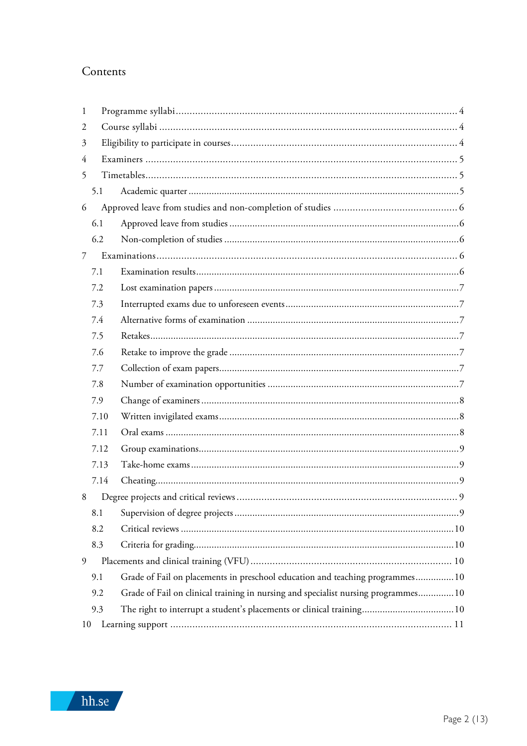### Contents

| 1  |      |                                                                                    |  |  |  |
|----|------|------------------------------------------------------------------------------------|--|--|--|
| 2  |      |                                                                                    |  |  |  |
| 3  |      |                                                                                    |  |  |  |
| 4  |      |                                                                                    |  |  |  |
| 5  |      |                                                                                    |  |  |  |
|    | 5.1  |                                                                                    |  |  |  |
| 6  |      |                                                                                    |  |  |  |
|    | 6.1  |                                                                                    |  |  |  |
|    | 6.2  |                                                                                    |  |  |  |
| 7  |      |                                                                                    |  |  |  |
|    | 7.1  |                                                                                    |  |  |  |
|    | 7.2  |                                                                                    |  |  |  |
|    | 7.3  |                                                                                    |  |  |  |
|    | 7.4  |                                                                                    |  |  |  |
|    | 7.5  |                                                                                    |  |  |  |
|    | 7.6  |                                                                                    |  |  |  |
|    | 7.7  |                                                                                    |  |  |  |
|    | 7.8  |                                                                                    |  |  |  |
|    | 7.9  |                                                                                    |  |  |  |
|    | 7.10 |                                                                                    |  |  |  |
|    | 7.11 |                                                                                    |  |  |  |
|    | 7.12 |                                                                                    |  |  |  |
|    | 7.13 |                                                                                    |  |  |  |
|    | 7.14 |                                                                                    |  |  |  |
| 8  |      |                                                                                    |  |  |  |
|    | 8.1  |                                                                                    |  |  |  |
|    | 8.2  |                                                                                    |  |  |  |
|    | 8.3  |                                                                                    |  |  |  |
| 9  |      |                                                                                    |  |  |  |
|    | 9.1  | Grade of Fail on placements in preschool education and teaching programmes 10      |  |  |  |
|    | 9.2  | Grade of Fail on clinical training in nursing and specialist nursing programmes 10 |  |  |  |
|    | 9.3  |                                                                                    |  |  |  |
| 10 |      |                                                                                    |  |  |  |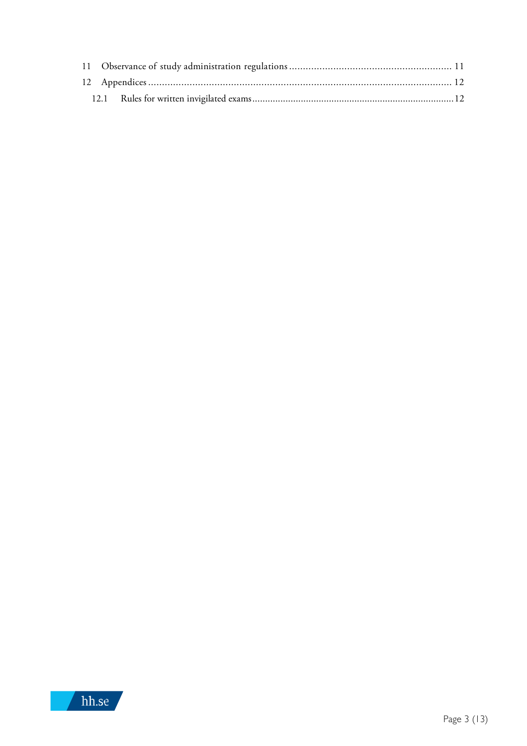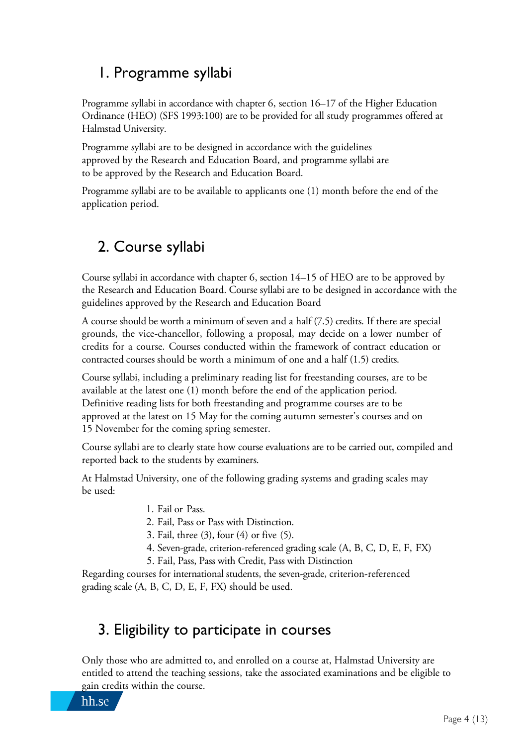# 1. Programme syllabi

Programme syllabi in accordance with chapter 6, section 16–17 of the Higher Education Ordinance (HEO) (SFS 1993:100) are to be provided for all study programmes offered at Halmstad University.

Programme syllabi are to be designed in accordance with the guidelines approved by the Research and Education Board, and programme syllabi are to be approved by the Research and Education Board.

Programme syllabi are to be available to applicants one (1) month before the end of the application period.

# 2. Course syllabi

Course syllabi in accordance with chapter 6, section 14–15 of HEO are to be approved by the Research and Education Board. Course syllabi are to be designed in accordance with the guidelines approved by the Research and Education Board

A course should be worth a minimum of seven and a half (7.5) credits. If there are special grounds, the vice-chancellor, following a proposal, may decide on a lower number of credits for a course. Courses conducted within the framework of contract education or contracted courses should be worth a minimum of one and a half (1.5) credits.

Course syllabi, including a preliminary reading list for freestanding courses, are to be available at the latest one (1) month before the end of the application period. Definitive reading lists for both freestanding and programme courses are to be approved at the latest on 15 May for the coming autumn semester's courses and on 15 November for the coming spring semester.

Course syllabi are to clearly state how course evaluations are to be carried out, compiled and reported back to the students by examiners.

At Halmstad University, one of the following grading systems and grading scales may be used:

1. Fail or Pass.

2. Fail, Pass or Pass with Distinction.

- 3. Fail, three (3), four (4) or five (5).
- 4. Seven-grade, criterion-referenced grading scale (A, B, C, D, E, F, FX)
- 5. Fail, Pass, Pass with Credit, Pass with Distinction

Regarding courses for international students, the seven-grade, criterion-referenced grading scale (A, B, C, D, E, F, FX) should be used.

# 3. Eligibility to participate in courses

Only those who are admitted to, and enrolled on a course at, Halmstad University are entitled to attend the teaching sessions, take the associated examinations and be eligible to gain credits within the course.

hh.se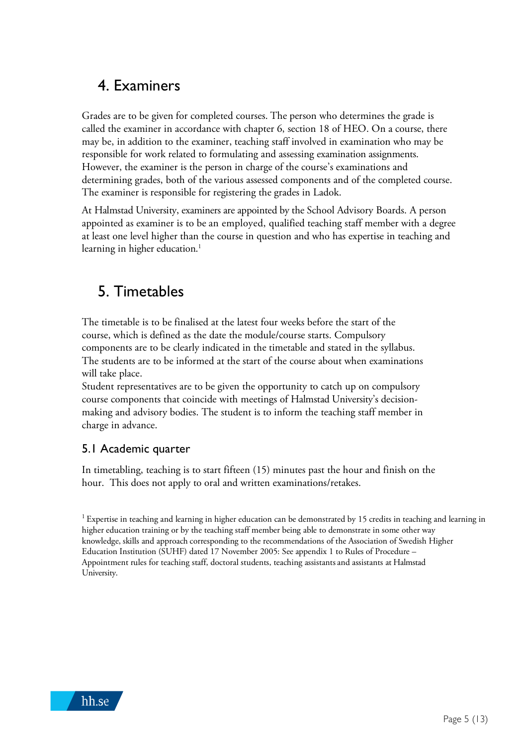# 4. Examiners

Grades are to be given for completed courses. The person who determines the grade is called the examiner in accordance with chapter 6, section 18 of HEO. On a course, there may be, in addition to the examiner, teaching staff involved in examination who may be responsible for work related to formulating and assessing examination assignments. However, the examiner is the person in charge of the course's examinations and determining grades, both of the various assessed components and of the completed course. The examiner is responsible for registering the grades in Ladok.

At Halmstad University, examiners are appointed by the School Advisory Boards. A person appointed as examiner is to be an employed, qualified teaching staff member with a degree at least one level higher than the course in question and who has expertise in teaching and learning in higher education. 1

# 5. Timetables

The timetable is to be finalised at the latest four weeks before the start of the course, which is defined as the date the module/course starts. Compulsory components are to be clearly indicated in the timetable and stated in the syllabus. The students are to be informed at the start of the course about when examinations will take place.

Student representatives are to be given the opportunity to catch up on compulsory course components that coincide with meetings of Halmstad University's decisionmaking and advisory bodies. The student is to inform the teaching staff member in charge in advance.

### 5.1 Academic quarter

In timetabling, teaching is to start fifteen (15) minutes past the hour and finish on the hour. This does not apply to oral and written examinations/retakes.

 $1$  Expertise in teaching and learning in higher education can be demonstrated by 15 credits in teaching and learning in higher education training or by the teaching staff member being able to demonstrate in some other way knowledge, skills and approach corresponding to the recommendations of the Association of Swedish Higher Education Institution (SUHF) dated 17 November 2005: See appendix 1 to Rules of Procedure – Appointment rules for teaching staff, doctoral students, teaching assistants and assistants at Halmstad University.

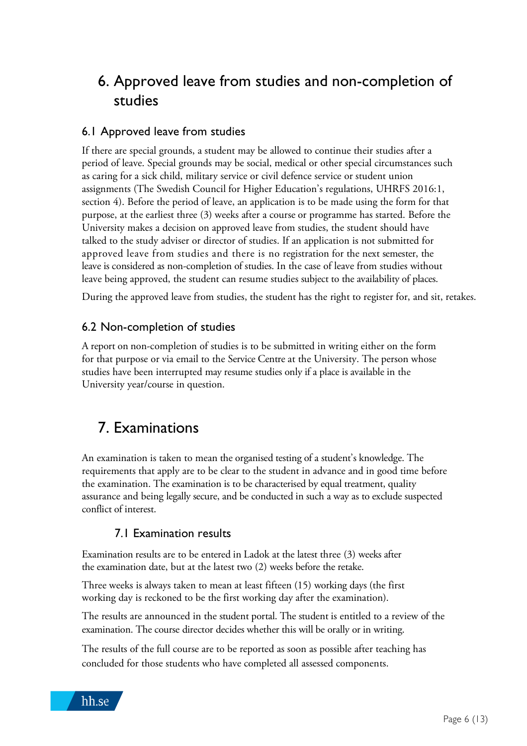# 6. Approved leave from studies and non-completion of studies

#### 6.1 Approved leave from studies

If there are special grounds, a student may be allowed to continue their studies after a period of leave. Special grounds may be social, medical or other special circumstances such as caring for a sick child, military service or civil defence service or student union assignments (The Swedish Council for Higher Education's regulations, UHRFS 2016:1, section 4). Before the period of leave, an application is to be made using the form for that purpose, at the earliest three (3) weeks after a course or programme has started. Before the University makes a decision on approved leave from studies, the student should have talked to the study adviser or director of studies. If an application is not submitted for approved leave from studies and there is no registration for the next semester, the leave is considered as non-completion of studies. In the case of leave from studies without leave being approved, the student can resume studies subject to the availability of places.

During the approved leave from studies, the student has the right to register for, and sit, retakes.

#### 6.2 Non-completion of studies

A report on non-completion of studies is to be submitted in writing either on the form for that purpose or via email to the Service Centre at the University. The person whose studies have been interrupted may resume studies only if a place is available in the University year/course in question.

# 7. Examinations

An examination is taken to mean the organised testing of a student's knowledge. The requirements that apply are to be clear to the student in advance and in good time before the examination. The examination is to be characterised by equal treatment, quality assurance and being legally secure, and be conducted in such a way as to exclude suspected conflict of interest.

#### 7.1 Examination results

Examination results are to be entered in Ladok at the latest three (3) weeks after the examination date, but at the latest two (2) weeks before the retake.

Three weeks is always taken to mean at least fifteen (15) working days (the first working day is reckoned to be the first working day after the examination).

The results are announced in the student portal. The student is entitled to a review of the examination. The course director decides whether this will be orally or in writing.

The results of the full course are to be reported as soon as possible after teaching has concluded for those students who have completed all assessed components.

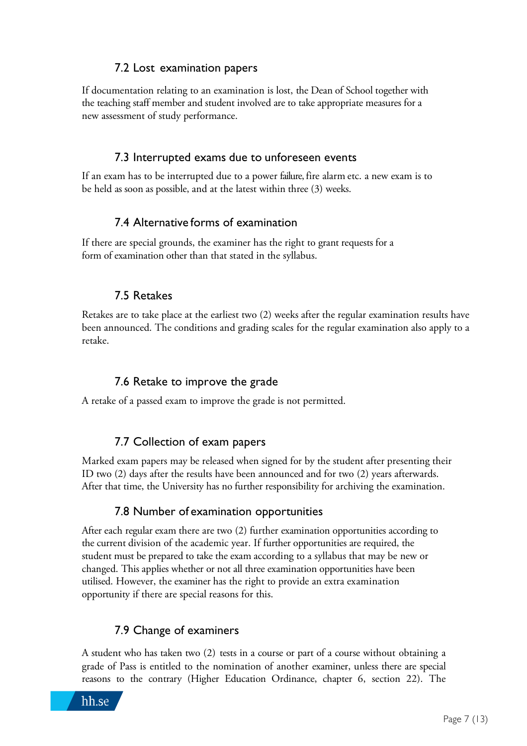### 7.2 Lost examination papers

If documentation relating to an examination is lost, the Dean of School together with the teaching staff member and student involved are to take appropriate measures for a new assessment of study performance.

#### 7.3 Interrupted exams due to unforeseen events

If an exam has to be interrupted due to a power failure, fire alarm etc. a new exam is to be held as soon as possible, and at the latest within three (3) weeks.

#### 7.4 Alternative forms of examination

If there are special grounds, the examiner has the right to grant requests for a form of examination other than that stated in the syllabus.

#### 7.5 Retakes

Retakes are to take place at the earliest two (2) weeks after the regular examination results have been announced. The conditions and grading scales for the regular examination also apply to a retake.

### 7.6 Retake to improve the grade

A retake of a passed exam to improve the grade is not permitted.

### 7.7 Collection of exam papers

Marked exam papers may be released when signed for by the student after presenting their ID two (2) days after the results have been announced and for two (2) years afterwards. After that time, the University has no further responsibility for archiving the examination.

#### 7.8 Number of examination opportunities

After each regular exam there are two (2) further examination opportunities according to the current division of the academic year. If further opportunities are required, the student must be prepared to take the exam according to a syllabus that may be new or changed. This applies whether or not all three examination opportunities have been utilised. However, the examiner has the right to provide an extra examination opportunity if there are special reasons for this.

#### 7.9 Change of examiners

A student who has taken two (2) tests in a course or part of a course without obtaining a grade of Pass is entitled to the nomination of another examiner, unless there are special reasons to the contrary (Higher Education Ordinance, chapter 6, section 22). The

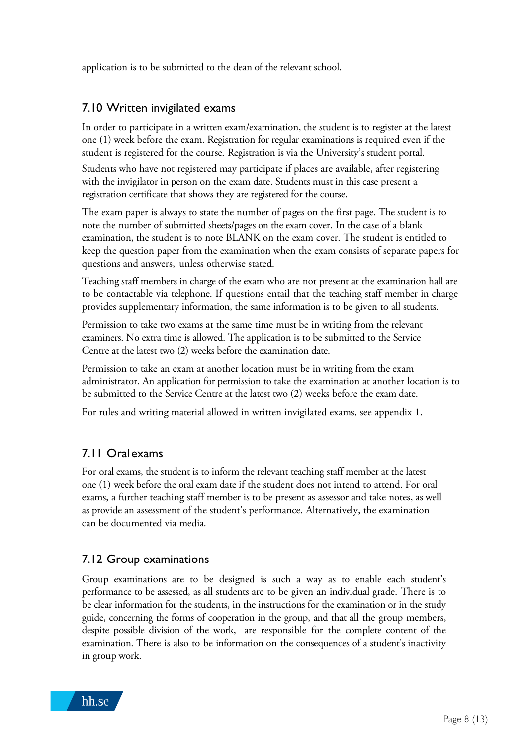application is to be submitted to the dean of the relevant school.

#### 7.10 Written invigilated exams

In order to participate in a written exam/examination, the student is to register at the latest one (1) week before the exam. Registration for regular examinations is required even if the student is registered for the course. Registration is via the University's student portal.

Students who have not registered may participate if places are available, after registering with the invigilator in person on the exam date. Students must in this case present a registration certificate that shows they are registered for the course.

The exam paper is always to state the number of pages on the first page. The student is to note the number of submitted sheets/pages on the exam cover. In the case of a blank examination, the student is to note BLANK on the exam cover. The student is entitled to keep the question paper from the examination when the exam consists of separate papers for questions and answers, unless otherwise stated.

Teaching staff members in charge of the exam who are not present at the examination hall are to be contactable via telephone. If questions entail that the teaching staff member in charge provides supplementary information, the same information is to be given to all students.

Permission to take two exams at the same time must be in writing from the relevant examiners. No extra time is allowed. The application is to be submitted to the Service Centre at the latest two (2) weeks before the examination date.

Permission to take an exam at another location must be in writing from the exam administrator. An application for permission to take the examination at another location is to be submitted to the Service Centre at the latest two (2) weeks before the exam date.

For rules and writing material allowed in written invigilated exams, see appendix 1.

### 7.11 Oral exams

For oral exams, the student is to inform the relevant teaching staff member at the latest one (1) week before the oral exam date if the student does not intend to attend. For oral exams, a further teaching staff member is to be present as assessor and take notes, as well as provide an assessment of the student's performance. Alternatively, the examination can be documented via media.

#### 7.12 Group examinations

Group examinations are to be designed is such a way as to enable each student's performance to be assessed, as all students are to be given an individual grade. There is to be clear information for the students, in the instructions for the examination or in the study guide, concerning the forms of cooperation in the group, and that all the group members, despite possible division of the work, are responsible for the complete content of the examination. There is also to be information on the consequences of a student's inactivity in group work.

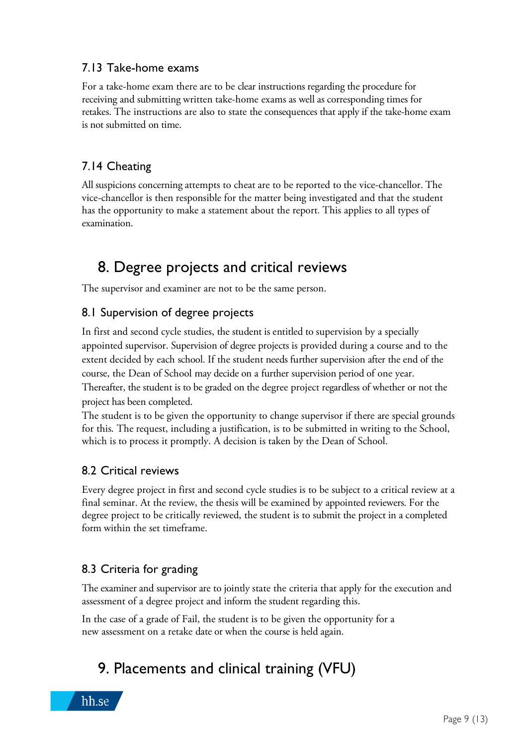### 7.13 Take-home exams

For a take-home exam there are to be clear instructions regarding the procedure for receiving and submitting written take-home exams as well as corresponding times for retakes. The instructions are also to state the consequences that apply if the take-home exam is not submitted on time.

## 7.14 Cheating

All suspicions concerning attempts to cheat are to be reported to the vice-chancellor. The vice-chancellor is then responsible for the matter being investigated and that the student has the opportunity to make a statement about the report. This applies to all types of examination.

# 8. Degree projects and critical reviews

The supervisor and examiner are not to be the same person.

### 8.1 Supervision of degree projects

In first and second cycle studies, the student is entitled to supervision by a specially appointed supervisor. Supervision of degree projects is provided during a course and to the extent decided by each school. If the student needs further supervision after the end of the course, the Dean of School may decide on a further supervision period of one year. Thereafter, the student is to be graded on the degree project regardless of whether or not the project has been completed.

The student is to be given the opportunity to change supervisor if there are special grounds for this. The request, including a justification, is to be submitted in writing to the School, which is to process it promptly. A decision is taken by the Dean of School.

### 8.2 Critical reviews

Every degree project in first and second cycle studies is to be subject to a critical review at a final seminar. At the review, the thesis will be examined by appointed reviewers. For the degree project to be critically reviewed, the student is to submit the project in a completed form within the set timeframe.

# 8.3 Criteria for grading

The examiner and supervisor are to jointly state the criteria that apply for the execution and assessment of a degree project and inform the student regarding this.

In the case of a grade of Fail, the student is to be given the opportunity for a new assessment on a retake date or when the course is held again.

# 9. Placements and clinical training (VFU)

hh.se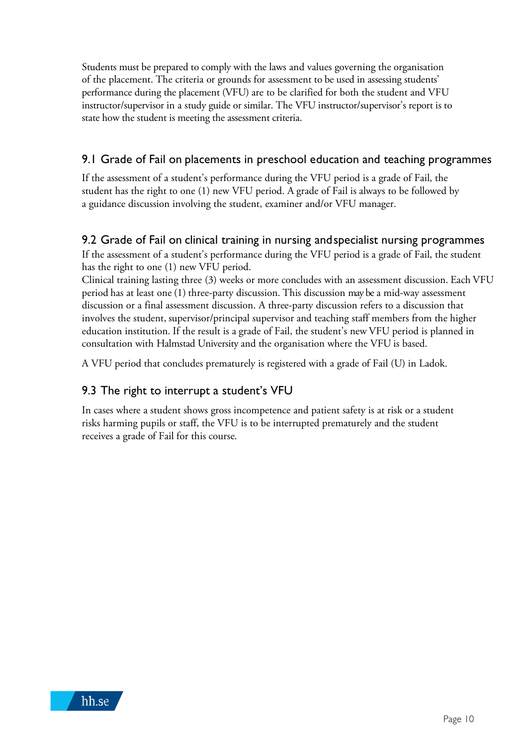Students must be prepared to comply with the laws and values governing the organisation of the placement. The criteria or grounds for assessment to be used in assessing students' performance during the placement (VFU) are to be clarified for both the student and VFU instructor/supervisor in a study guide or similar. The VFU instructor/supervisor's report is to state how the student is meeting the assessment criteria.

### 9.1 Grade of Fail on placements in preschool education and teaching programmes

If the assessment of a student's performance during the VFU period is a grade of Fail, the student has the right to one (1) new VFU period. A grade of Fail is always to be followed by a guidance discussion involving the student, examiner and/or VFU manager.

#### 9.2 Grade of Fail on clinical training in nursing andspecialist nursing programmes

If the assessment of a student's performance during the VFU period is a grade of Fail, the student has the right to one (1) new VFU period.

Clinical training lasting three (3) weeks or more concludes with an assessment discussion. Each VFU period has at least one (1) three-party discussion. This discussion may be a mid-way assessment discussion or a final assessment discussion. A three-party discussion refers to a discussion that involves the student, supervisor/principal supervisor and teaching staff members from the higher education institution. If the result is a grade of Fail, the student's new VFU period is planned in consultation with Halmstad University and the organisation where the VFU is based.

A VFU period that concludes prematurely is registered with a grade of Fail (U) in Ladok.

### 9.3 The right to interrupt a student's VFU

In cases where a student shows gross incompetence and patient safety is at risk or a student risks harming pupils or staff, the VFU is to be interrupted prematurely and the student receives a grade of Fail for this course.

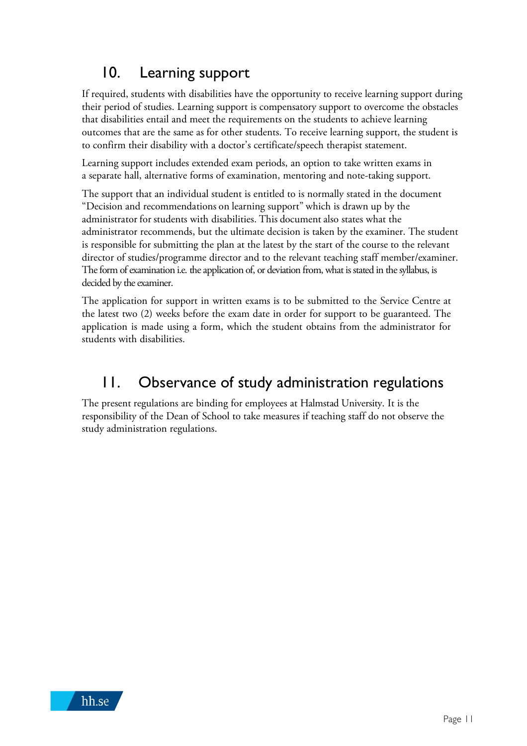# 10. Learning support

If required, students with disabilities have the opportunity to receive learning support during their period of studies. Learning support is compensatory support to overcome the obstacles that disabilities entail and meet the requirements on the students to achieve learning outcomes that are the same as for other students. To receive learning support, the student is to confirm their disability with a doctor's certificate/speech therapist statement.

Learning support includes extended exam periods, an option to take written exams in a separate hall, alternative forms of examination, mentoring and note-taking support.

The support that an individual student is entitled to is normally stated in the document "Decision and recommendations on learning support" which is drawn up by the administrator for students with disabilities. This document also states what the administrator recommends, but the ultimate decision is taken by the examiner. The student is responsible for submitting the plan at the latest by the start of the course to the relevant director of studies/programme director and to the relevant teaching staff member/examiner. The form of examination i.e. the application of, or deviation from, what is stated in the syllabus, is decided by the examiner.

The application for support in written exams is to be submitted to the Service Centre at the latest two (2) weeks before the exam date in order for support to be guaranteed. The application is made using a form, which the student obtains from the administrator for students with disabilities.

# 11. Observance of study administration regulations

The present regulations are binding for employees at Halmstad University. It is the responsibility of the Dean of School to take measures if teaching staff do not observe the study administration regulations.

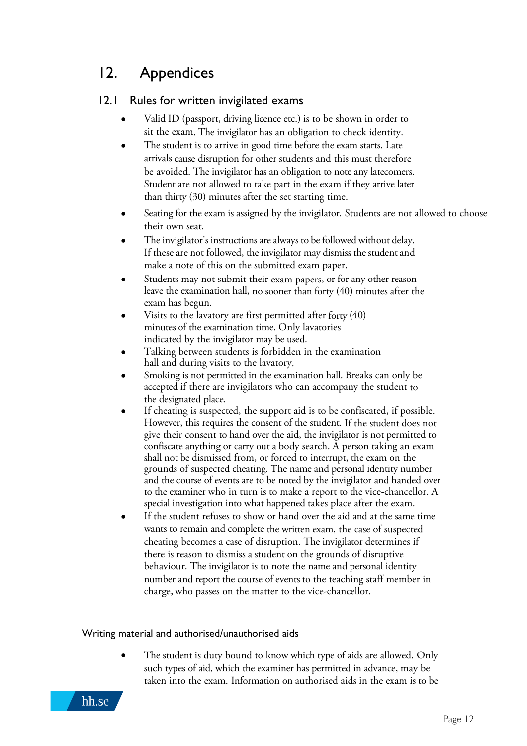# 12. Appendices

### 12.1 Rules for written invigilated exams

- Valid ID (passport, driving licence etc.) is to be shown in order to sit the exam. The invigilator has an obligation to check identity.
- The student is to arrive in good time before the exam starts. Late arrivals cause disruption for other students and this must therefore be avoided. The invigilator has an obligation to note any latecomers. Student are not allowed to take part in the exam if they arrive later than thirty (30) minutes after the set starting time.
- Seating for the exam is assigned by the invigilator. Students are not allowed to choose their own seat.
- The invigilator's instructions are always to be followed without delay. If these are not followed, the invigilator may dismiss the student and make a note of this on the submitted exam paper.
- Students may not submit their exam papers, or for any other reason leave the examination hall, no sooner than forty (40) minutes after the exam has begun.
- Visits to the lavatory are first permitted after forty  $(40)$ minutes of the examination time. Only lavatories indicated by the invigilator may be used.
- Talking between students is forbidden in the examination hall and during visits to the lavatory.
- Smoking is not permitted in the examination hall. Breaks can only be accepted if there are invigilators who can accompany the student to the designated place.
- If cheating is suspected, the support aid is to be confiscated, if possible. However, this requires the consent of the student. If the student does not give their consent to hand over the aid, the invigilator is not permitted to confiscate anything or carry out a body search. A person taking an exam shall not be dismissed from, or forced to interrupt, the exam on the grounds of suspected cheating. The name and personal identity number and the course of events are to be noted by the invigilator and handed over to the examiner who in turn is to make a report to the vice-chancellor. A special investigation into what happened takes place after the exam.
- If the student refuses to show or hand over the aid and at the same time wants to remain and complete the written exam, the case of suspected cheating becomes a case of disruption. The invigilator determines if there is reason to dismiss a student on the grounds of disruptive behaviour. The invigilator is to note the name and personal identity number and report the course of events to the teaching staff member in charge, who passes on the matter to the vice-chancellor.

#### Writing material and authorised/unauthorised aids

The student is duty bound to know which type of aids are allowed. Only such types of aid, which the examiner has permitted in advance, may be taken into the exam. Information on authorised aids in the exam is to be